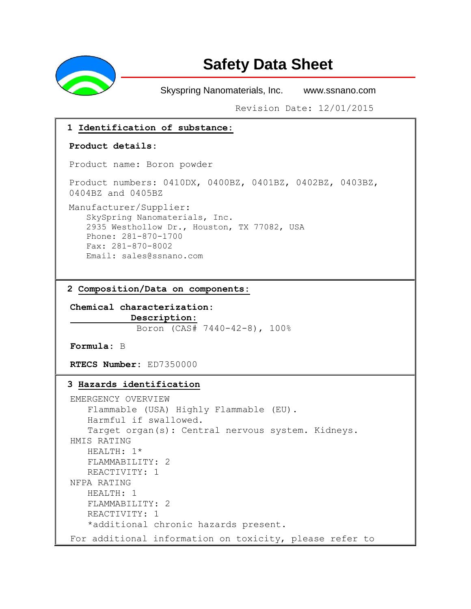

# **Safety Data Sheet**

Skyspring Nanomaterials, Inc. www.ssnano.com

Revision Date: 12/01/2015

### **1 Identification of substance:**

#### **Product details:**

Product name: Boron powder

Product numbers: 0410DX, 0400BZ, 0401BZ, 0402BZ, 0403BZ, 0404BZ and 0405BZ

Manufacturer/Supplier: SkySpring Nanomaterials, Inc. 2935 Westhollow Dr., Houston, TX 77082, USA Phone: 281-870-1700 Fax: 281-870-8002 Email: [sales@ssnano.com](mailto:sales@ssnano.com)

**2 Composition/Data on components:**

**Chemical characterization: Description:**  Boron (CAS# 7440-42-8), 100%

**Formula:** B

**RTECS Number:** ED7350000

### **3 Hazards identification**

```
EMERGENCY OVERVIEW
   Flammable (USA) Highly Flammable (EU).
   Harmful if swallowed.
   Target organ(s): Central nervous system. Kidneys.
HMIS RATING
   HEALTH: 1*
   FLAMMABILITY: 2
   REACTIVITY: 1
NFPA RATING
  HEALTH: 1
   FLAMMABILITY: 2
   REACTIVITY: 1
   *additional chronic hazards present.
For additional information on toxicity, please refer to
```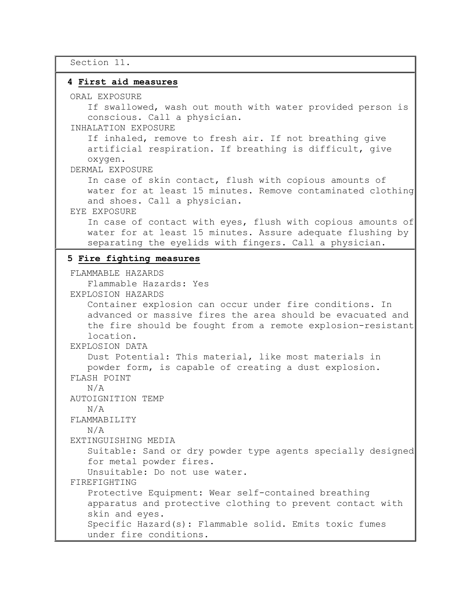Section 11.

### **4 First aid measures**

ORAL EXPOSURE

If swallowed, wash out mouth with water provided person is conscious. Call a physician.

INHALATION EXPOSURE

If inhaled, remove to fresh air. If not breathing give artificial respiration. If breathing is difficult, give oxygen.

DERMAL EXPOSURE

In case of skin contact, flush with copious amounts of water for at least 15 minutes. Remove contaminated clothing and shoes. Call a physician.

### EYE EXPOSURE

In case of contact with eyes, flush with copious amounts of water for at least 15 minutes. Assure adequate flushing by separating the eyelids with fingers. Call a physician.

### **5 Fire fighting measures**

FLAMMABLE HAZARDS Flammable Hazards: Yes EXPLOSION HAZARDS Container explosion can occur under fire conditions. In advanced or massive fires the area should be evacuated and the fire should be fought from a remote explosion-resistant location. EXPLOSION DATA Dust Potential: This material, like most materials in powder form, is capable of creating a dust explosion. FLASH POINT N/A AUTOIGNITION TEMP N/A FLAMMABILITY N/A EXTINGUISHING MEDIA Suitable: Sand or dry powder type agents specially designed for metal powder fires. Unsuitable: Do not use water. FIREFIGHTING Protective Equipment: Wear self-contained breathing apparatus and protective clothing to prevent contact with skin and eyes. Specific Hazard(s): Flammable solid. Emits toxic fumes under fire conditions.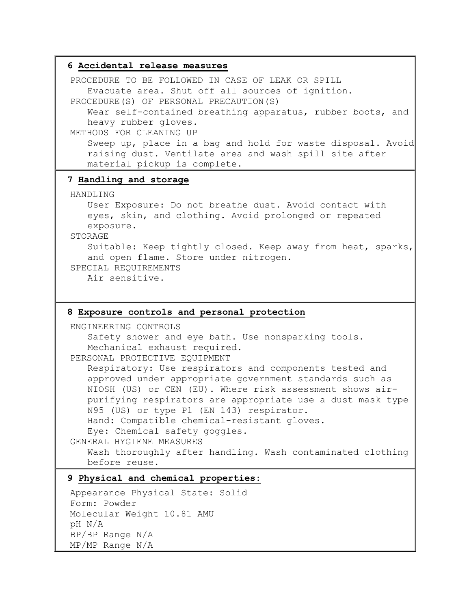# **6 Accidental release measures** PROCEDURE TO BE FOLLOWED IN CASE OF LEAK OR SPILL Evacuate area. Shut off all sources of ignition. PROCEDURE(S) OF PERSONAL PRECAUTION(S) Wear self-contained breathing apparatus, rubber boots, and heavy rubber gloves. METHODS FOR CLEANING UP Sweep up, place in a bag and hold for waste disposal. Avoid raising dust. Ventilate area and wash spill site after material pickup is complete. **7 Handling and storage** HANDLING User Exposure: Do not breathe dust. Avoid contact with eyes, skin, and clothing. Avoid prolonged or repeated exposure. STORAGE Suitable: Keep tightly closed. Keep away from heat, sparks, and open flame. Store under nitrogen. SPECIAL REQUIREMENTS

Air sensitive.

### **8 Exposure controls and personal protection**

ENGINEERING CONTROLS

Safety shower and eye bath. Use nonsparking tools. Mechanical exhaust required.

PERSONAL PROTECTIVE EQUIPMENT

Respiratory: Use respirators and components tested and approved under appropriate government standards such as NIOSH (US) or CEN (EU). Where risk assessment shows airpurifying respirators are appropriate use a dust mask type N95 (US) or type P1 (EN 143) respirator. Hand: Compatible chemical-resistant gloves.

Eye: Chemical safety goggles.

```
GENERAL HYGIENE MEASURES
```
Wash thoroughly after handling. Wash contaminated clothing before reuse.

## **9 Physical and chemical properties:**

Appearance Physical State: Solid Form: Powder Molecular Weight 10.81 AMU pH N/A BP/BP Range N/A MP/MP Range N/A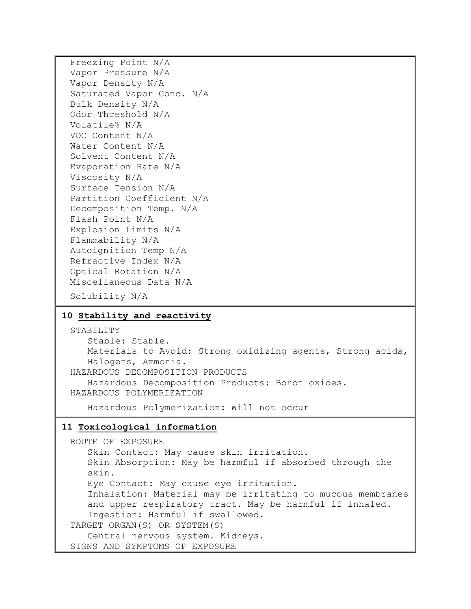Freezing Point N/A Vapor Pressure N/A Vapor Density N/A Saturated Vapor Conc. N/A Bulk Density N/A Odor Threshold N/A Volatile% N/A VOC Content N/A Water Content N/A Solvent Content N/A Evaporation Rate N/A Viscosity N/A Surface Tension N/A Partition Coefficient N/A Decomposition Temp. N/A Flash Point N/A Explosion Limits N/A Flammability N/A Autoignition Temp N/A Refractive Index N/A Optical Rotation N/A Miscellaneous Data N/A Solubility N/A

### **10 Stability and reactivity**

STABILITY Stable: Stable. Materials to Avoid: Strong oxidizing agents, Strong acids, Halogens, Ammonia. HAZARDOUS DECOMPOSITION PRODUCTS Hazardous Decomposition Products: Boron oxides. HAZARDOUS POLYMERIZATION

Hazardous Polymerization: Will not occur

### **11 Toxicological information**

ROUTE OF EXPOSURE Skin Contact: May cause skin irritation. Skin Absorption: May be harmful if absorbed through the skin. Eye Contact: May cause eye irritation. Inhalation: Material may be irritating to mucous membranes and upper respiratory tract. May be harmful if inhaled. Ingestion: Harmful if swallowed. TARGET ORGAN(S) OR SYSTEM(S) Central nervous system. Kidneys. SIGNS AND SYMPTOMS OF EXPOSURE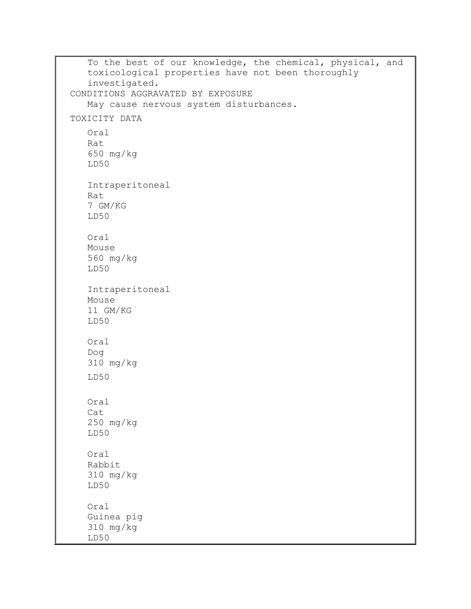To the best of our knowledge, the chemical, physical, and toxicological properties have not been thoroughly investigated. CONDITIONS AGGRAVATED BY EXPOSURE May cause nervous system disturbances. TOXICITY DATA Oral Rat 650 mg/kg LD50 Intraperitoneal Rat 7 GM/KG LD50 Oral Mouse 560 mg/kg LD50 Intraperitoneal Mouse 11 GM/KG LD50 Oral Dog 310 mg/kg LD50 Oral Cat 250 mg/kg LD50 Oral Rabbit 310 mg/kg LD50 Oral Guinea pig 310 mg/kg LD50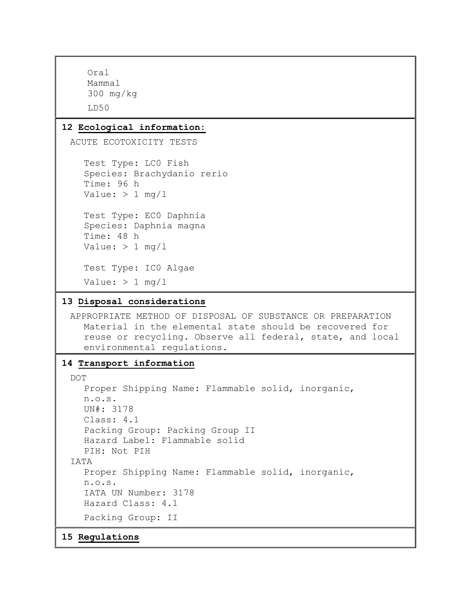```
Oral
    Mammal
    300 mg/kg
    LD50
12 Ecological information:
 ACUTE ECOTOXICITY TESTS
    Test Type: LC0 Fish
    Species: Brachydanio rerio
    Time: 96 h
   Value: > 1 mg/l
   Test Type: EC0 Daphnia
   Species: Daphnia magna
    Time: 48 h
   Value: > 1 mg/l
    Test Type: IC0 Algae
   Value: > 1 mg/1
13 Disposal considerations
 APPROPRIATE METHOD OF DISPOSAL OF SUBSTANCE OR PREPARATION
   Material in the elemental state should be recovered for 
    reuse or recycling. Observe all federal, state, and local 
    environmental regulations.
14 Transport information
 DOT
   Proper Shipping Name: Flammable solid, inorganic,
   n.o.s.
   UN#: 3178
   Class: 4.1
    Packing Group: Packing Group II
    Hazard Label: Flammable solid
   PIH: Not PIH
 IATA
    Proper Shipping Name: Flammable solid, inorganic,
    n.o.s.
    IATA UN Number: 3178
    Hazard Class: 4.1
    Packing Group: II
```
**15 Regulations**